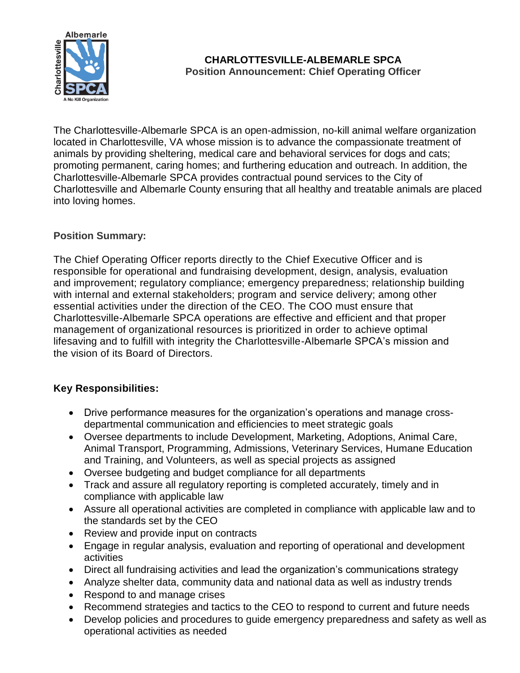

## **CHARLOTTESVILLE-ALBEMARLE SPCA Position Announcement: Chief Operating Officer**

The Charlottesville-Albemarle SPCA is an open-admission, no-kill animal welfare organization located in Charlottesville, VA whose mission is to advance the compassionate treatment of animals by providing sheltering, medical care and behavioral services for dogs and cats; promoting permanent, caring homes; and furthering education and outreach. In addition, the Charlottesville-Albemarle SPCA provides contractual pound services to the City of Charlottesville and Albemarle County ensuring that all healthy and treatable animals are placed into loving homes.

## **Position Summary:**

The Chief Operating Officer reports directly to the Chief Executive Officer and is responsible for operational and fundraising development, design, analysis, evaluation and improvement; regulatory compliance; emergency preparedness; relationship building with internal and external stakeholders; program and service delivery; among other essential activities under the direction of the CEO. The COO must ensure that Charlottesville-Albemarle SPCA operations are effective and efficient and that proper management of organizational resources is prioritized in order to achieve optimal lifesaving and to fulfill with integrity the Charlottesville-Albemarle SPCA's mission and the vision of its Board of Directors.

## **Key Responsibilities:**

- Drive performance measures for the organization's operations and manage crossdepartmental communication and efficiencies to meet strategic goals
- Oversee departments to include Development, Marketing, Adoptions, Animal Care, Animal Transport, Programming, Admissions, Veterinary Services, Humane Education and Training, and Volunteers, as well as special projects as assigned
- Oversee budgeting and budget compliance for all departments
- Track and assure all regulatory reporting is completed accurately, timely and in compliance with applicable law
- Assure all operational activities are completed in compliance with applicable law and to the standards set by the CEO
- Review and provide input on contracts
- Engage in regular analysis, evaluation and reporting of operational and development activities
- Direct all fundraising activities and lead the organization's communications strategy
- Analyze shelter data, community data and national data as well as industry trends
- Respond to and manage crises
- Recommend strategies and tactics to the CEO to respond to current and future needs
- Develop policies and procedures to guide emergency preparedness and safety as well as operational activities as needed